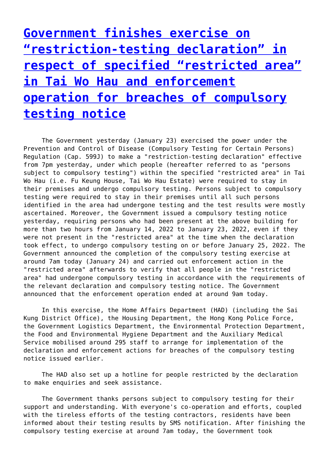**[Government finishes exercise on](http://www.government-world.com/government-finishes-exercise-on-restriction-testing-declaration-in-respect-of-specified-restricted-area-in-tai-wo-hau-and-enforcement-operation-for-breaches-of-compulsory-testing-notice/) ["restriction-testing declaration" in](http://www.government-world.com/government-finishes-exercise-on-restriction-testing-declaration-in-respect-of-specified-restricted-area-in-tai-wo-hau-and-enforcement-operation-for-breaches-of-compulsory-testing-notice/) [respect of specified "restricted area"](http://www.government-world.com/government-finishes-exercise-on-restriction-testing-declaration-in-respect-of-specified-restricted-area-in-tai-wo-hau-and-enforcement-operation-for-breaches-of-compulsory-testing-notice/) [in Tai Wo Hau and enforcement](http://www.government-world.com/government-finishes-exercise-on-restriction-testing-declaration-in-respect-of-specified-restricted-area-in-tai-wo-hau-and-enforcement-operation-for-breaches-of-compulsory-testing-notice/) [operation for breaches of compulsory](http://www.government-world.com/government-finishes-exercise-on-restriction-testing-declaration-in-respect-of-specified-restricted-area-in-tai-wo-hau-and-enforcement-operation-for-breaches-of-compulsory-testing-notice/) [testing notice](http://www.government-world.com/government-finishes-exercise-on-restriction-testing-declaration-in-respect-of-specified-restricted-area-in-tai-wo-hau-and-enforcement-operation-for-breaches-of-compulsory-testing-notice/)**

 The Government yesterday (January 23) exercised the power under the Prevention and Control of Disease (Compulsory Testing for Certain Persons) Regulation (Cap. 599J) to make a "restriction-testing declaration" effective from 7pm yesterday, under which people (hereafter referred to as "persons subject to compulsory testing") within the specified "restricted area" in Tai Wo Hau (i.e. Fu Keung House, Tai Wo Hau Estate) were required to stay in their premises and undergo compulsory testing. Persons subject to compulsory testing were required to stay in their premises until all such persons identified in the area had undergone testing and the test results were mostly ascertained. Moreover, the Government issued a compulsory testing notice yesterday, requiring persons who had been present at the above building for more than two hours from January 14, 2022 to January 23, 2022, even if they were not present in the "restricted area" at the time when the declaration took effect, to undergo compulsory testing on or before January 25, 2022. The Government announced the completion of the compulsory testing exercise at around 7am today (January 24) and carried out enforcement action in the "restricted area" afterwards to verify that all people in the "restricted area" had undergone compulsory testing in accordance with the requirements of the relevant declaration and compulsory testing notice. The Government announced that the enforcement operation ended at around 9am today.

 In this exercise, the Home Affairs Department (HAD) (including the Sai Kung District Office), the Housing Department, the Hong Kong Police Force, the Government Logistics Department, the Environmental Protection Department, the Food and Environmental Hygiene Department and the Auxiliary Medical Service mobilised around 295 staff to arrange for implementation of the declaration and enforcement actions for breaches of the compulsory testing notice issued earlier.

 The HAD also set up a hotline for people restricted by the declaration to make enquiries and seek assistance.

 The Government thanks persons subject to compulsory testing for their support and understanding. With everyone's co-operation and efforts, coupled with the tireless efforts of the testing contractors, residents have been informed about their testing results by SMS notification. After finishing the compulsory testing exercise at around 7am today, the Government took